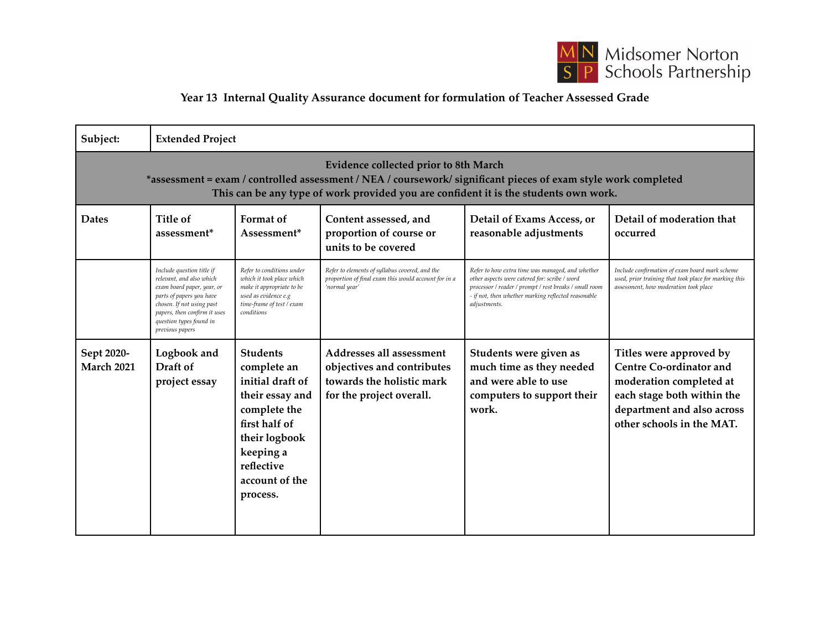

## **Year 13 Internal Quality Assurance document for formulation of Teacher Assessed Grade**

| Subject:                                                                                                                                                                                                                                               | <b>Extended Project</b>                                                                                                                                                                                                    |                                                                                                                                                                                  |                                                                                                                         |                                                                                                                                                                                                                                    |                                                                                                                                                                               |  |  |  |  |
|--------------------------------------------------------------------------------------------------------------------------------------------------------------------------------------------------------------------------------------------------------|----------------------------------------------------------------------------------------------------------------------------------------------------------------------------------------------------------------------------|----------------------------------------------------------------------------------------------------------------------------------------------------------------------------------|-------------------------------------------------------------------------------------------------------------------------|------------------------------------------------------------------------------------------------------------------------------------------------------------------------------------------------------------------------------------|-------------------------------------------------------------------------------------------------------------------------------------------------------------------------------|--|--|--|--|
| <b>Evidence collected prior to 8th March</b><br>*assessment = exam / controlled assessment / NEA / coursework/ significant pieces of exam style work completed<br>This can be any type of work provided you are confident it is the students own work. |                                                                                                                                                                                                                            |                                                                                                                                                                                  |                                                                                                                         |                                                                                                                                                                                                                                    |                                                                                                                                                                               |  |  |  |  |
| <b>Dates</b>                                                                                                                                                                                                                                           | Title of<br>assessment*                                                                                                                                                                                                    | Format of<br>Assessment*                                                                                                                                                         | Content assessed, and<br>proportion of course or<br>units to be covered                                                 | Detail of Exams Access, or<br>reasonable adjustments                                                                                                                                                                               | Detail of moderation that<br>occurred                                                                                                                                         |  |  |  |  |
|                                                                                                                                                                                                                                                        | Include question title if<br>relevant, and also which<br>exam board paper, year, or<br>parts of papers you have<br>chosen. If not using past<br>papers, then confirm it uses<br>question types found in<br>previous papers | Refer to conditions under<br>which it took place which<br>make it appropriate to be<br>used as evidence e.g<br>time-frame of test / exam<br>conditions                           | Refer to elements of syllabus covered, and the<br>proportion of final exam this would account for in a<br>'normal year' | Refer to how extra time was managed, and whether<br>other aspects were catered for: scribe / word<br>processor / reader / prompt / rest breaks / small room<br>- if not, then whether marking reflected reasonable<br>adjustments. | Include confirmation of exam board mark scheme<br>used, prior training that took place for marking this<br>assessment, how moderation took place                              |  |  |  |  |
| Sept 2020-<br><b>March 2021</b>                                                                                                                                                                                                                        | Logbook and<br>Draft of<br>project essay                                                                                                                                                                                   | <b>Students</b><br>complete an<br>initial draft of<br>their essay and<br>complete the<br>first half of<br>their logbook<br>keeping a<br>reflective<br>account of the<br>process. | Addresses all assessment<br>objectives and contributes<br>towards the holistic mark<br>for the project overall.         | Students were given as<br>much time as they needed<br>and were able to use<br>computers to support their<br>work.                                                                                                                  | Titles were approved by<br><b>Centre Co-ordinator and</b><br>moderation completed at<br>each stage both within the<br>department and also across<br>other schools in the MAT. |  |  |  |  |